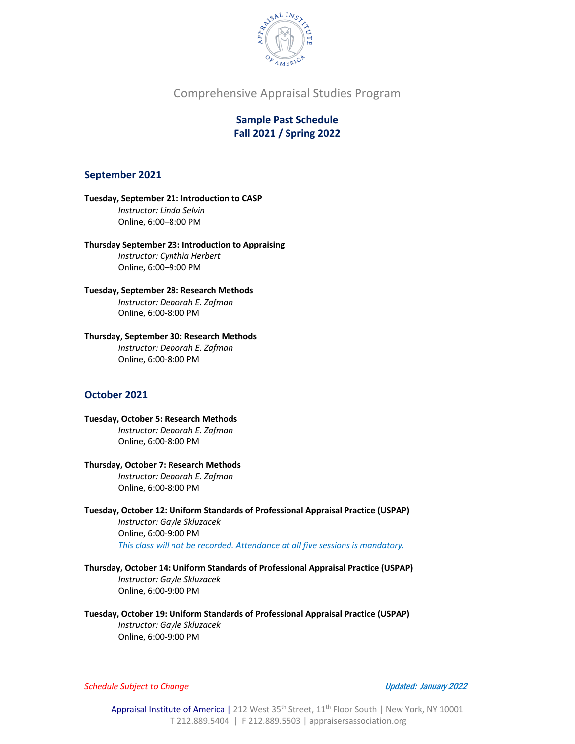

**Sample Past Schedule Fall 2021 / Spring 2022**

### **September 2021**

**Tuesday, September 21: Introduction to CASP** *Instructor: Linda Selvin* Online, 6:00–8:00 PM

**Thursday September 23: Introduction to Appraising** *Instructor: Cynthia Herbert* Online, 6:00–9:00 PM

**Tuesday, September 28: Research Methods** *Instructor: Deborah E. Zafman* Online, 6:00-8:00 PM

**Thursday, September 30: Research Methods** *Instructor: Deborah E. Zafman*

## **October 2021**

**Tuesday, October 5: Research Methods** 

Online, 6:00-8:00 PM

*Instructor: Deborah E. Zafman* Online, 6:00-8:00 PM

**Thursday, October 7: Research Methods**  *Instructor: Deborah E. Zafman* Online, 6:00-8:00 PM

**Tuesday, October 12: Uniform Standards of Professional Appraisal Practice (USPAP)**  *Instructor: Gayle Skluzacek* Online, 6:00-9:00 PM

*This class will not be recorded. Attendance at all five sessions is mandatory.*

**Thursday, October 14: Uniform Standards of Professional Appraisal Practice (USPAP)**  *Instructor: Gayle Skluzacek* Online, 6:00-9:00 PM

**Tuesday, October 19: Uniform Standards of Professional Appraisal Practice (USPAP)**  *Instructor: Gayle Skluzacek* Online, 6:00-9:00 PM

*Schedule Subject to Change* Updated: January <sup>2022</sup>

Appraisal Institute of America | 212 West 35<sup>th</sup> Street, 11<sup>th</sup> Floor South | New York, NY 10001 T 212.889.5404 | F 212.889.5503 | appraisersassociation.org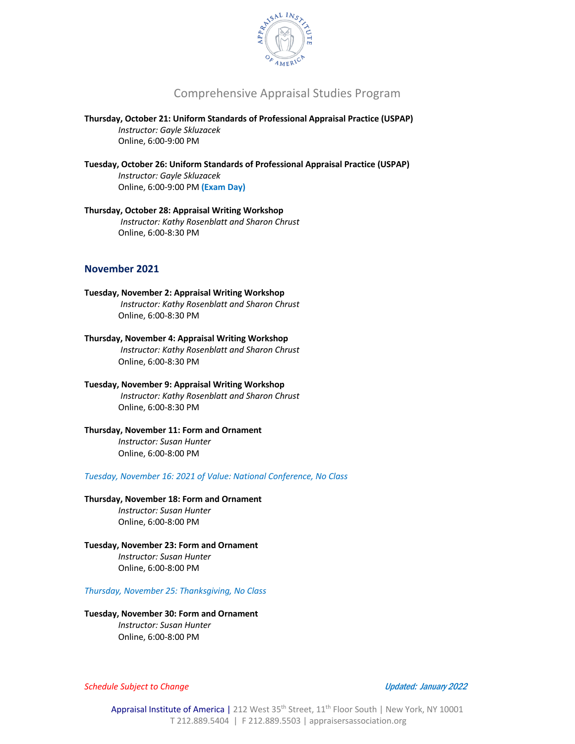

**Thursday, October 21: Uniform Standards of Professional Appraisal Practice (USPAP)**  *Instructor: Gayle Skluzacek* Online, 6:00-9:00 PM

**Tuesday, October 26: Uniform Standards of Professional Appraisal Practice (USPAP)**  *Instructor: Gayle Skluzacek* Online, 6:00-9:00 PM **(Exam Day)**

**Thursday, October 28: Appraisal Writing Workshop**  *Instructor: Kathy Rosenblatt and Sharon Chrust* Online, 6:00-8:30 PM

## **November 2021**

**Tuesday, November 2: Appraisal Writing Workshop**  *Instructor: Kathy Rosenblatt and Sharon Chrust* Online, 6:00-8:30 PM

**Thursday, November 4: Appraisal Writing Workshop**  *Instructor: Kathy Rosenblatt and Sharon Chrust* Online, 6:00-8:30 PM

**Tuesday, November 9: Appraisal Writing Workshop**  *Instructor: Kathy Rosenblatt and Sharon Chrust* Online, 6:00-8:30 PM

**Thursday, November 11: Form and Ornament** *Instructor: Susan Hunter* 

Online, 6:00-8:00 PM

*Tuesday, November 16: 2021 of Value: National Conference, No Class*

**Thursday, November 18: Form and Ornament** *Instructor: Susan Hunter*  Online, 6:00-8:00 PM

**Tuesday, November 23: Form and Ornament** *Instructor: Susan Hunter*  Online, 6:00-8:00 PM

*Thursday, November 25: Thanksgiving, No Class*

**Tuesday, November 30: Form and Ornament** *Instructor: Susan Hunter*  Online, 6:00-8:00 PM

*Schedule Subject to Change* Updated: January <sup>2022</sup>

Appraisal Institute of America | 212 West 35<sup>th</sup> Street, 11<sup>th</sup> Floor South | New York, NY 10001 T 212.889.5404 | F 212.889.5503 | appraisersassociation.org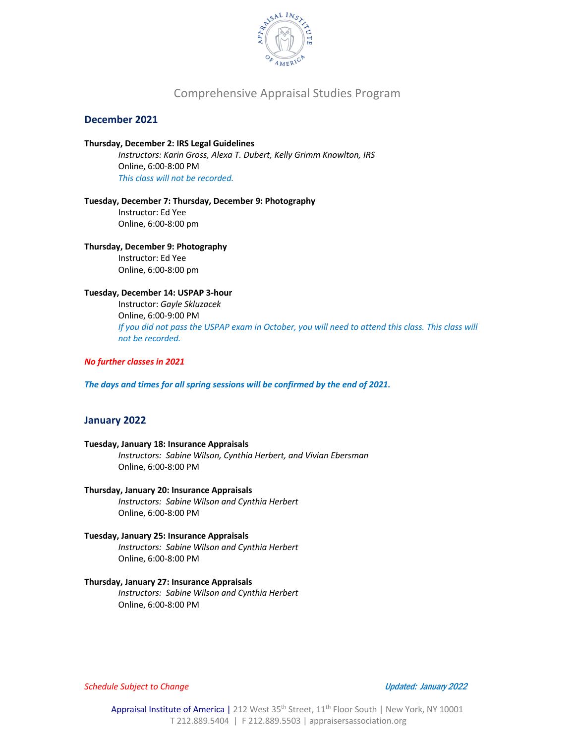

### **December 2021**

# **Thursday, December 2: IRS Legal Guidelines** *Instructors: Karin Gross, Alexa T. Dubert, Kelly Grimm Knowlton, IRS*

Online, 6:00-8:00 PM *This class will not be recorded.*

**Tuesday, December 7: Thursday, December 9: Photography**  Instructor: Ed Yee Online, 6:00-8:00 pm

# **Thursday, December 9: Photography**

Instructor: Ed Yee Online, 6:00-8:00 pm

# **Tuesday, December 14: USPAP 3-hour**

Instructor: *Gayle Skluzacek* Online, 6:00-9:00 PM *If you did not pass the USPAP exam in October, you will need to attend this class. This class will not be recorded.* 

#### *No further classes in 2021*

*The days and times for all spring sessions will be confirmed by the end of 2021.*

#### **January 2022**

#### **Tuesday, January 18: Insurance Appraisals**  *Instructors: Sabine Wilson, Cynthia Herbert, and Vivian Ebersman* Online, 6:00-8:00 PM

#### **Thursday, January 20: Insurance Appraisals**

*Instructors: Sabine Wilson and Cynthia Herbert* Online, 6:00-8:00 PM

#### **Tuesday, January 25: Insurance Appraisals**  *Instructors: Sabine Wilson and Cynthia Herbert*

Online, 6:00-8:00 PM

# **Thursday, January 27: Insurance Appraisals**

*Instructors: Sabine Wilson and Cynthia Herbert* Online, 6:00-8:00 PM

*Schedule Subject to Change* Updated: January <sup>2022</sup>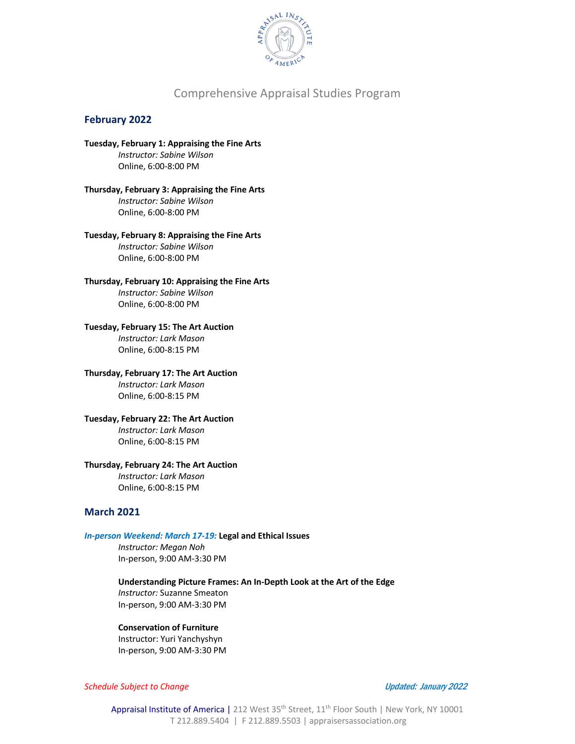

## **February 2022**

**Tuesday, February 1: Appraising the Fine Arts** *Instructor: Sabine Wilson* Online, 6:00-8:00 PM

**Thursday, February 3: Appraising the Fine Arts** *Instructor: Sabine Wilson* Online, 6:00-8:00 PM

**Tuesday, February 8: Appraising the Fine Arts** *Instructor: Sabine Wilson* Online, 6:00-8:00 PM

**Thursday, February 10: Appraising the Fine Arts** *Instructor: Sabine Wilson* Online, 6:00-8:00 PM

**Tuesday, February 15: The Art Auction**

*Instructor: Lark Mason* Online, 6:00-8:15 PM

**Thursday, February 17: The Art Auction**

*Instructor: Lark Mason* Online, 6:00-8:15 PM

**Tuesday, February 22: The Art Auction**

*Instructor: Lark Mason* Online, 6:00-8:15 PM

#### **Thursday, February 24: The Art Auction**

*Instructor: Lark Mason* Online, 6:00-8:15 PM

## **March 2021**

#### *In-person Weekend: March 17-19:* **Legal and Ethical Issues**

*Instructor: Megan Noh*  In-person, 9:00 AM-3:30 PM

**Understanding Picture Frames: An In-Depth Look at the Art of the Edge**  *Instructor:* Suzanne Smeaton In-person, 9:00 AM-3:30 PM

#### **Conservation of Furniture**

Instructor: Yuri Yanchyshyn In-person, 9:00 AM-3:30 PM

*Schedule Subject to Change* Updated: January <sup>2022</sup>